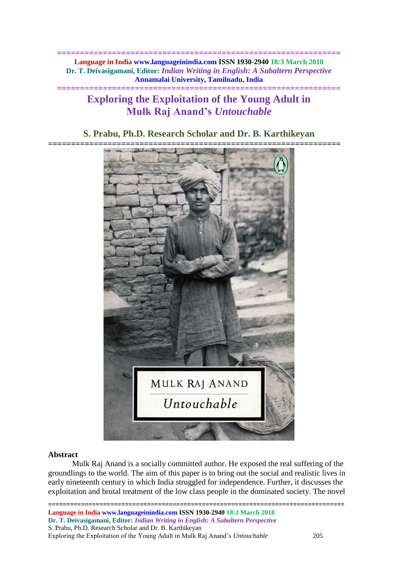**============================================================== Language in India www.languageinindia.com ISSN 1930-2940 18:3 March 2018 Dr. T. Deivasigamani, Editor:** *Indian Writing in English: A Subaltern Perspective* **Annamalai University, Tamilnadu, India**

# **Exploring the Exploitation of the Young Adult in Mulk Raj Anand's** *Untouchable*

**==============================================================**

## **S. Prabu, Ph.D. Research Scholar and Dr. B. Karthikeyan**



### **Abstract**

Mulk Raj Anand is a socially committed author. He exposed the real suffering of the groundlings to the world. The aim of this paper is to bring out the social and realistic lives in early nineteenth century in which India struggled for independence. Further, it discusses the exploitation and brutal treatment of the low class people in the dominated society. The novel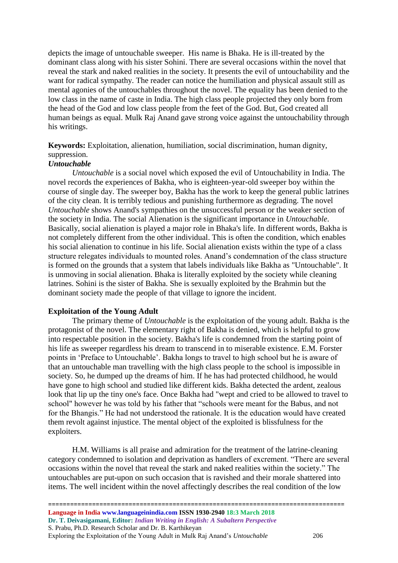depicts the image of untouchable sweeper. His name is Bhaka. He is ill-treated by the dominant class along with his sister Sohini. There are several occasions within the novel that reveal the stark and naked realities in the society. It presents the evil of untouchability and the want for radical sympathy. The reader can notice the humiliation and physical assault still as mental agonies of the untouchables throughout the novel. The equality has been denied to the low class in the name of caste in India. The high class people projected they only born from the head of the God and low class people from the feet of the God. But, God created all human beings as equal. Mulk Raj Anand gave strong voice against the untouchability through his writings.

**Keywords:** Exploitation, alienation, humiliation, social discrimination, human dignity, suppression.

### *Untouchable*

*Untouchable* is a social novel which exposed the evil of Untouchability in India. The novel records the experiences of Bakha, who is eighteen-year-old sweeper boy within the course of single day. The sweeper boy, Bakha has the work to keep the general public latrines of the city clean. It is terribly tedious and punishing furthermore as degrading. The novel *Untouchable* shows Anand's sympathies on the unsuccessful person or the weaker section of the society in India. The social Alienation is the significant importance in *Untouchable*. Basically, social alienation is played a major role in Bhaka's life. In different words, Bakha is not completely different from the other individual. This is often the condition, which enables his social alienation to continue in his life. Social alienation exists within the type of a class structure relegates individuals to mounted roles. Anand's condemnation of the class structure is formed on the grounds that a system that labels individuals like Bakha as "Untouchable". It is unmoving in social alienation. Bhaka is literally exploited by the society while cleaning latrines. Sohini is the sister of Bakha. She is sexually exploited by the Brahmin but the dominant society made the people of that village to ignore the incident.

### **Exploitation of the Young Adult**

The primary theme of *Untouchable* is the exploitation of the young adult. Bakha is the protagonist of the novel. The elementary right of Bakha is denied, which is helpful to grow into respectable position in the society. Bakha's life is condemned from the starting point of his life as sweeper regardless his dream to transcend in to miserable existence. E.M. Forster points in 'Preface to Untouchable'. Bakha longs to travel to high school but he is aware of that an untouchable man travelling with the high class people to the school is impossible in society. So, he dumped up the dreams of him. If he has had protected childhood, he would have gone to high school and studied like different kids. Bakha detected the ardent, zealous look that lip up the tiny one's face. Once Bakha had "wept and cried to be allowed to travel to school" however he was told by his father that "schools were meant for the Babus, and not for the Bhangis." He had not understood the rationale. It is the education would have created them revolt against injustice. The mental object of the exploited is blissfulness for the exploiters.

H.M. Williams is all praise and admiration for the treatment of the latrine-cleaning category condemned to isolation and deprivation as handlers of excrement. "There are several occasions within the novel that reveal the stark and naked realities within the society." The untouchables are put-upon on such occasion that is ravished and their morale shattered into items. The well incident within the novel affectingly describes the real condition of the low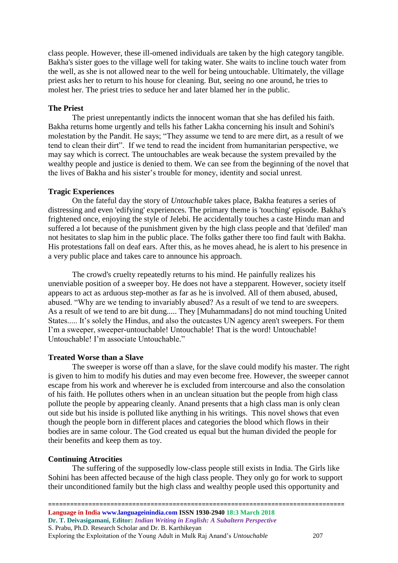class people. However, these ill-omened individuals are taken by the high category tangible. Bakha's sister goes to the village well for taking water. She waits to incline touch water from the well, as she is not allowed near to the well for being untouchable. Ultimately, the village priest asks her to return to his house for cleaning. But, seeing no one around, he tries to molest her. The priest tries to seduce her and later blamed her in the public.

### **The Priest**

The priest unrepentantly indicts the innocent woman that she has defiled his faith. Bakha returns home urgently and tells his father Lakha concerning his insult and Sohini's molestation by the Pandit. He says; "They assume we tend to are mere dirt, as a result of we tend to clean their dirt". If we tend to read the incident from humanitarian perspective, we may say which is correct. The untouchables are weak because the system prevailed by the wealthy people and justice is denied to them. We can see from the beginning of the novel that the lives of Bakha and his sister's trouble for money, identity and social unrest.

#### **Tragic Experiences**

On the fateful day the story of *Untouchable* takes place, Bakha features a series of distressing and even 'edifying' experiences. The primary theme is 'touching' episode. Bakha's frightened once, enjoying the style of Jelebi. He accidentally touches a caste Hindu man and suffered a lot because of the punishment given by the high class people and that 'defiled' man not hesitates to slap him in the public place. The folks gather there too find fault with Bakha. His protestations fall on deaf ears. After this, as he moves ahead, he is alert to his presence in a very public place and takes care to announce his approach.

The crowd's cruelty repeatedly returns to his mind. He painfully realizes his unenviable position of a sweeper boy. He does not have a stepparent. However, society itself appears to act as arduous step-mother as far as he is involved. All of them abused, abused, abused. "Why are we tending to invariably abused? As a result of we tend to are sweepers. As a result of we tend to are bit dung..... They [Muhammadans] do not mind touching United States..... It's solely the Hindus, and also the outcastes UN agency aren't sweepers. For them I'm a sweeper, sweeper-untouchable! Untouchable! That is the word! Untouchable! Untouchable! I'm associate Untouchable."

#### **Treated Worse than a Slave**

The sweeper is worse off than a slave, for the slave could modify his master. The right is given to him to modify his duties and may even become free. However, the sweeper cannot escape from his work and wherever he is excluded from intercourse and also the consolation of his faith. He pollutes others when in an unclean situation but the people from high class pollute the people by appearing cleanly. Anand presents that a high class man is only clean out side but his inside is polluted like anything in his writings. This novel shows that even though the people born in different places and categories the blood which flows in their bodies are in same colour. The God created us equal but the human divided the people for their benefits and keep them as toy.

#### **Continuing Atrocities**

The suffering of the supposedly low-class people still exists in India. The Girls like Sohini has been affected because of the high class people. They only go for work to support their unconditioned family but the high class and wealthy people used this opportunity and